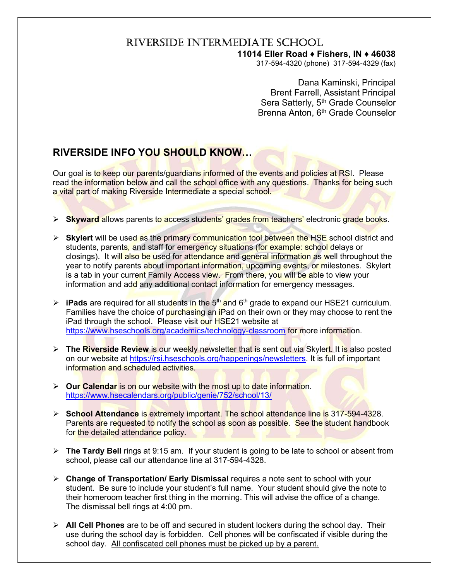## RIVERSIDE INTERMEDIATE SCHOOL

## 11014 Eller Road ♦ Fishers, IN ♦ 46038

317-594-4320 (phone) 317-594-4329 (fax)

 Dana Kaminski, Principal Brent Farrell, Assistant Principal Sera Satterly, 5<sup>th</sup> Grade Counselor Brenna Anton, 6<sup>th</sup> Grade Counselor

## RIVERSIDE INFO YOU SHOULD KNOW…

Our goal is to keep our parents/guardians informed of the events and policies at RSI. Please read the information below and call the school office with any questions. Thanks for being such a vital part of making Riverside Intermediate a special school.

- $\triangleright$  Skyward allows parents to access students' grades from teachers' electronic grade books.
- $\triangleright$  Skylert will be used as the primary communication tool between the HSE school district and students, parents, and staff for emergency situations (for example: school delays or closings). It will also be used for attendance and general information as well throughout the year to notify parents about important information, upcoming events, or milestones. Skylert is a tab in your current Family Access view. From there, you will be able to view your information and add any additional contact information for emergency messages.
- $\triangleright$  **iPads** are required for all students in the  $5<sup>th</sup>$  and  $6<sup>th</sup>$  grade to expand our HSE21 curriculum. Families have the choice of purchasing an iPad on their own or they may choose to rent the iPad through the school. Please visit our HSE21 website at https://www.hseschools.org/academics/technology-classroom for more information.
- $\triangleright$  The Riverside Review is our weekly newsletter that is sent out via Skylert. It is also posted on our website at https://rsi.hseschools.org/happenings/newsletters. It is full of important information and scheduled activities.
- $\triangleright$  Our Calendar is on our website with the most up to date information. https://www.hsecalendars.org/public/genie/752/school/13/
- School Attendance is extremely important. The school attendance line is 317-594-4328. Parents are requested to notify the school as soon as possible. See the student handbook for the detailed attendance policy.
- $\triangleright$  The Tardy Bell rings at 9:15 am. If your student is going to be late to school or absent from school, please call our attendance line at 317-594-4328.
- $\triangleright$  Change of Transportation/ Early Dismissal requires a note sent to school with your student. Be sure to include your student's full name. Your student should give the note to their homeroom teacher first thing in the morning. This will advise the office of a change. The dismissal bell rings at 4:00 pm.
- $\triangleright$  All Cell Phones are to be off and secured in student lockers during the school day. Their use during the school day is forbidden. Cell phones will be confiscated if visible during the school day. All confiscated cell phones must be picked up by a parent.